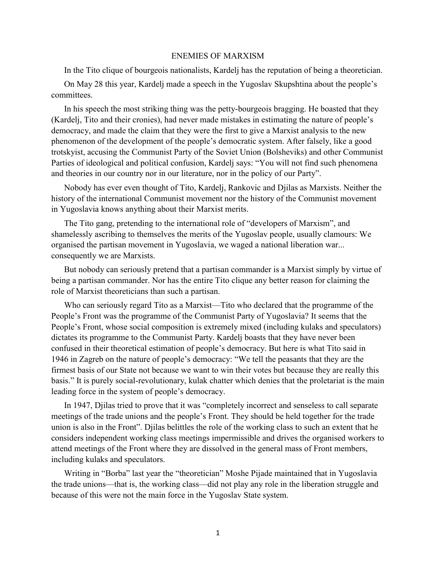## ENEMIES OF MARXISM

In the Tito clique of bourgeois nationalists, Kardelj has the reputation of being a theoretician.

On May 28 this year, Kardelj made a speech in the Yugoslav Skupshtina about the people's committees.

In his speech the most striking thing was the petty-bourgeois bragging. He boasted that they (Kardelj, Tito and their cronies), had never made mistakes in estimating the nature of people's democracy, and made the claim that they were the first to give a Marxist analysis to the new phenomenon of the development of the people's democratic system. After falsely, like a good trotskyist, accusing the Communist Party of the Soviet Union (Bolsheviks) and other Communist Parties of ideological and political confusion, Kardelj says: "You will not find such phenomena and theories in our country nor in our literature, nor in the policy of our Party".

Nobody has ever even thought of Tito, Kardelj, Rankovic and Djilas as Marxists. Neither the history of the international Communist movement nor the history of the Communist movement in Yugoslavia knows anything about their Marxist merits.

The Tito gang, pretending to the international role of "developers of Marxism", and shamelessly ascribing to themselves the merits of the Yugoslav people, usually clamours: We organised the partisan movement in Yugoslavia, we waged a national liberation war... consequently we are Marxists.

But nobody can seriously pretend that a partisan commander is a Marxist simply by virtue of being a partisan commander. Nor has the entire Tito clique any better reason for claiming the role of Marxist theoreticians than such a partisan.

Who can seriously regard Tito as a Marxist—Tito who declared that the programme of the People's Front was the programme of the Communist Party of Yugoslavia? It seems that the People's Front, whose social composition is extremely mixed (including kulaks and speculators) dictates its programme to the Communist Party. Kardelj boasts that they have never been confused in their theoretical estimation of people's democracy. But here is what Tito said in 1946 in Zagreb on the nature of people's democracy: "We tell the peasants that they are the firmest basis of our State not because we want to win their votes but because they are really this basis." It is purely social-revolutionary, kulak chatter which denies that the proletariat is the main leading force in the system of people's democracy.

In 1947, Djilas tried to prove that it was "completely incorrect and senseless to call separate meetings of the trade unions and the people's Front. They should be held together for the trade union is also in the Front". Djilas belittles the role of the working class to such an extent that he considers independent working class meetings impermissible and drives the organised workers to attend meetings of the Front where they are dissolved in the general mass of Front members, including kulaks and speculators.

Writing in "Borba" last year the "theoretician" Moshe Pijade maintained that in Yugoslavia the trade unions—that is, the working class—did not play any role in the liberation struggle and because of this were not the main force in the Yugoslav State system.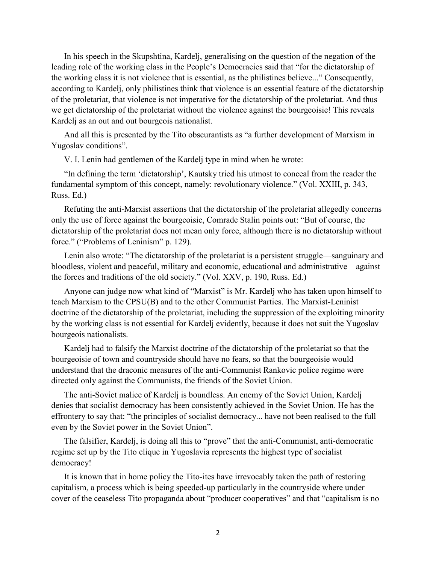In his speech in the Skupshtina, Kardelj, generalising on the question of the negation of the leading role of the working class in the People's Democracies said that "for the dictatorship of the working class it is not violence that is essential, as the philistines believe..." Consequently, according to Kardelj, only philistines think that violence is an essential feature of the dictatorship of the proletariat, that violence is not imperative for the dictatorship of the proletariat. And thus we get dictatorship of the proletariat without the violence against the bourgeoisie! This reveals Kardelj as an out and out bourgeois nationalist.

And all this is presented by the Tito obscurantists as "a further development of Marxism in Yugoslav conditions".

V. I. Lenin had gentlemen of the Kardelj type in mind when he wrote:

"In defining the term 'dictatorship', Kautsky tried his utmost to conceal from the reader the fundamental symptom of this concept, namely: revolutionary violence." (Vol. XXIII, p. 343, Russ. Ed.)

Refuting the anti-Marxist assertions that the dictatorship of the proletariat allegedly concerns only the use of force against the bourgeoisie, Comrade Stalin points out: "But of course, the dictatorship of the proletariat does not mean only force, although there is no dictatorship without force." ("Problems of Leninism" p. 129).

Lenin also wrote: "The dictatorship of the proletariat is a persistent struggle—sanguinary and bloodless, violent and peaceful, military and economic, educational and administrative—against the forces and traditions of the old society." (Vol. XXV, p. 190, Russ. Ed.)

Anyone can judge now what kind of "Marxist" is Mr. Kardelj who has taken upon himself to teach Marxism to the CPSU(B) and to the other Communist Parties. The Marxist-Leninist doctrine of the dictatorship of the proletariat, including the suppression of the exploiting minority by the working class is not essential for Kardelj evidently, because it does not suit the Yugoslav bourgeois nationalists.

Kardelj had to falsify the Marxist doctrine of the dictatorship of the proletariat so that the bourgeoisie of town and countryside should have no fears, so that the bourgeoisie would understand that the draconic measures of the anti-Communist Rankovic police regime were directed only against the Communists, the friends of the Soviet Union.

The anti-Soviet malice of Kardelj is boundless. An enemy of the Soviet Union, Kardelj denies that socialist democracy has been consistently achieved in the Soviet Union. He has the effrontery to say that: "the principles of socialist democracy... have not been realised to the full even by the Soviet power in the Soviet Union".

The falsifier, Kardelj, is doing all this to "prove" that the anti-Communist, anti-democratic regime set up by the Tito clique in Yugoslavia represents the highest type of socialist democracy!

It is known that in home policy the Tito-ites have irrevocably taken the path of restoring capitalism, a process which is being speeded-up particularly in the countryside where under cover of the ceaseless Tito propaganda about "producer cooperatives" and that "capitalism is no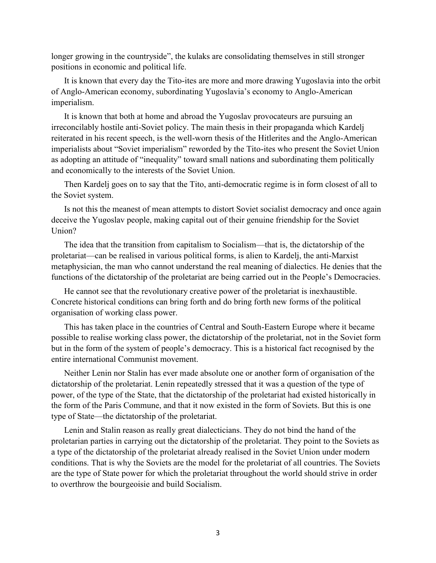longer growing in the countryside", the kulaks are consolidating themselves in still stronger positions in economic and political life.

It is known that every day the Tito-ites are more and more drawing Yugoslavia into the orbit of Anglo-American economy, subordinating Yugoslavia's economy to Anglo-American imperialism.

It is known that both at home and abroad the Yugoslav provocateurs are pursuing an irreconcilably hostile anti-Soviet policy. The main thesis in their propaganda which Kardelj reiterated in his recent speech, is the well-worn thesis of the Hitlerites and the Anglo-American imperialists about "Soviet imperialism" reworded by the Tito-ites who present the Soviet Union as adopting an attitude of "inequality" toward small nations and subordinating them politically and economically to the interests of the Soviet Union.

Then Kardelj goes on to say that the Tito, anti-democratic regime is in form closest of all to the Soviet system.

Is not this the meanest of mean attempts to distort Soviet socialist democracy and once again deceive the Yugoslav people, making capital out of their genuine friendship for the Soviet Union?

The idea that the transition from capitalism to Socialism—that is, the dictatorship of the proletariat—can be realised in various political forms, is alien to Kardelj, the anti-Marxist metaphysician, the man who cannot understand the real meaning of dialectics. He denies that the functions of the dictatorship of the proletariat are being carried out in the People's Democracies.

He cannot see that the revolutionary creative power of the proletariat is inexhaustible. Concrete historical conditions can bring forth and do bring forth new forms of the political organisation of working class power.

This has taken place in the countries of Central and South-Eastern Europe where it became possible to realise working class power, the dictatorship of the proletariat, not in the Soviet form but in the form of the system of people's democracy. This is a historical fact recognised by the entire international Communist movement.

Neither Lenin nor Stalin has ever made absolute one or another form of organisation of the dictatorship of the proletariat. Lenin repeatedly stressed that it was a question of the type of power, of the type of the State, that the dictatorship of the proletariat had existed historically in the form of the Paris Commune, and that it now existed in the form of Soviets. But this is one type of State—the dictatorship of the proletariat.

Lenin and Stalin reason as really great dialecticians. They do not bind the hand of the proletarian parties in carrying out the dictatorship of the proletariat. They point to the Soviets as a type of the dictatorship of the proletariat already realised in the Soviet Union under modern conditions. That is why the Soviets are the model for the proletariat of all countries. The Soviets are the type of State power for which the proletariat throughout the world should strive in order to overthrow the bourgeoisie and build Socialism.